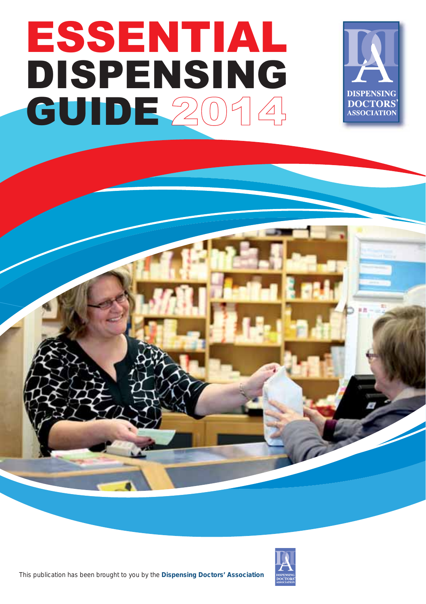## ESSENTIAL DISPENSING **GUIDE 2014**





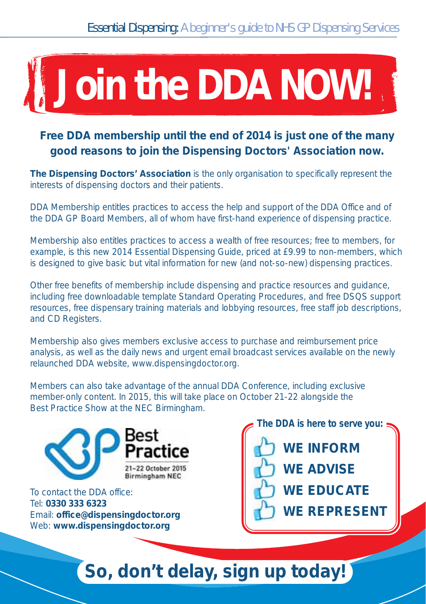## **Join the DDA NOW!**

## **Free DDA membership until the end of 2014 is just one of the many good reasons to join the Dispensing Doctors' Association now.**

**The Dispensing Doctors' Association** is the only organisation to specifically represent the interests of dispensing doctors and their patients.

DDA Membership entitles practices to access the help and support of the DDA Office and of the DDA GP Board Members, all of whom have first-hand experience of dispensing practice.

Membership also entitles practices to access a wealth of free resources; free to members, for example, is this new 2014 Essential Dispensing Guide, priced at £9.99 to non-members, which is designed to give basic but vital information for new (and not-so-new) dispensing practices.

Other free benefits of membership include dispensing and practice resources and guidance, including free downloadable template Standard Operating Procedures, and free DSQS support resources, free dispensary training materials and lobbying resources, free staff job descriptions, and CD Registers.

Membership also gives members exclusive access to purchase and reimbursement price analysis, as well as the daily news and urgent email broadcast services available on the newly relaunched DDA website, www.dispensingdoctor.org.

Members can also take advantage of the annual DDA Conference, including exclusive member-only content. In 2015, this will take place on October 21-22 alongside the Best Practice Show at the NEC Birmingham.



To contact the DDA office: Tel: **0330 333 6323** Email: **office@dispensingdoctor.org** Web: **www.dispensingdoctor.org**

**The DDA is here to serve you: WE INFORM WE ADVISE WE EDUCATE WE REPRESENT**

## **So, don't delay, sign up today!**